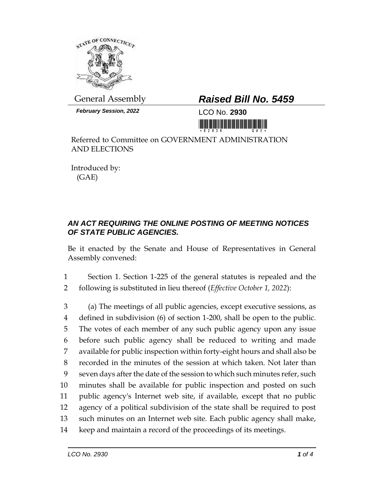

*February Session, 2022* LCO No. **2930**

## General Assembly *Raised Bill No. 5459*

<u> Harris Alban (d. 1989)</u>

Referred to Committee on GOVERNMENT ADMINISTRATION AND ELECTIONS

Introduced by: (GAE)

## *AN ACT REQUIRING THE ONLINE POSTING OF MEETING NOTICES OF STATE PUBLIC AGENCIES.*

Be it enacted by the Senate and House of Representatives in General Assembly convened:

1 Section 1. Section 1-225 of the general statutes is repealed and the 2 following is substituted in lieu thereof (*Effective October 1, 2022*):

 (a) The meetings of all public agencies, except executive sessions, as defined in subdivision (6) of section 1-200, shall be open to the public. The votes of each member of any such public agency upon any issue before such public agency shall be reduced to writing and made available for public inspection within forty-eight hours and shall also be recorded in the minutes of the session at which taken. Not later than seven days after the date of the session to which such minutes refer, such minutes shall be available for public inspection and posted on such public agency's Internet web site, if available, except that no public agency of a political subdivision of the state shall be required to post such minutes on an Internet web site. Each public agency shall make, keep and maintain a record of the proceedings of its meetings.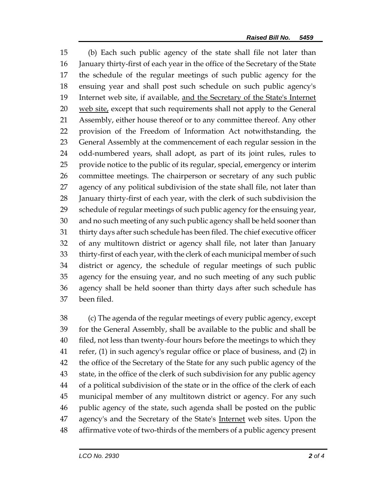(b) Each such public agency of the state shall file not later than January thirty-first of each year in the office of the Secretary of the State the schedule of the regular meetings of such public agency for the ensuing year and shall post such schedule on such public agency's Internet web site, if available, and the Secretary of the State's Internet web site, except that such requirements shall not apply to the General Assembly, either house thereof or to any committee thereof. Any other provision of the Freedom of Information Act notwithstanding, the General Assembly at the commencement of each regular session in the odd-numbered years, shall adopt, as part of its joint rules, rules to provide notice to the public of its regular, special, emergency or interim committee meetings. The chairperson or secretary of any such public agency of any political subdivision of the state shall file, not later than January thirty-first of each year, with the clerk of such subdivision the schedule of regular meetings of such public agency for the ensuing year, and no such meeting of any such public agency shall be held sooner than thirty days after such schedule has been filed. The chief executive officer of any multitown district or agency shall file, not later than January thirty-first of each year, with the clerk of each municipal member of such district or agency, the schedule of regular meetings of such public agency for the ensuing year, and no such meeting of any such public agency shall be held sooner than thirty days after such schedule has been filed.

 (c) The agenda of the regular meetings of every public agency, except for the General Assembly, shall be available to the public and shall be filed, not less than twenty-four hours before the meetings to which they refer, (1) in such agency's regular office or place of business, and (2) in the office of the Secretary of the State for any such public agency of the state, in the office of the clerk of such subdivision for any public agency of a political subdivision of the state or in the office of the clerk of each municipal member of any multitown district or agency. For any such public agency of the state, such agenda shall be posted on the public 47 agency's and the Secretary of the State's Internet web sites. Upon the affirmative vote of two-thirds of the members of a public agency present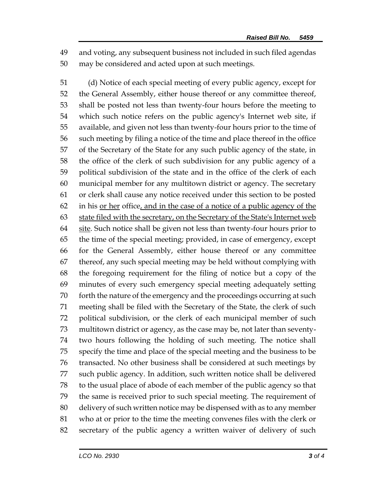and voting, any subsequent business not included in such filed agendas may be considered and acted upon at such meetings.

 (d) Notice of each special meeting of every public agency, except for the General Assembly, either house thereof or any committee thereof, shall be posted not less than twenty-four hours before the meeting to which such notice refers on the public agency's Internet web site, if available, and given not less than twenty-four hours prior to the time of such meeting by filing a notice of the time and place thereof in the office of the Secretary of the State for any such public agency of the state, in the office of the clerk of such subdivision for any public agency of a political subdivision of the state and in the office of the clerk of each municipal member for any multitown district or agency. The secretary or clerk shall cause any notice received under this section to be posted in his or her office, and in the case of a notice of a public agency of the 63 state filed with the secretary, on the Secretary of the State's Internet web 64 site. Such notice shall be given not less than twenty-four hours prior to the time of the special meeting; provided, in case of emergency, except for the General Assembly, either house thereof or any committee thereof, any such special meeting may be held without complying with the foregoing requirement for the filing of notice but a copy of the minutes of every such emergency special meeting adequately setting forth the nature of the emergency and the proceedings occurring at such meeting shall be filed with the Secretary of the State, the clerk of such political subdivision, or the clerk of each municipal member of such multitown district or agency, as the case may be, not later than seventy- two hours following the holding of such meeting. The notice shall specify the time and place of the special meeting and the business to be transacted. No other business shall be considered at such meetings by such public agency. In addition, such written notice shall be delivered to the usual place of abode of each member of the public agency so that the same is received prior to such special meeting. The requirement of delivery of such written notice may be dispensed with as to any member who at or prior to the time the meeting convenes files with the clerk or secretary of the public agency a written waiver of delivery of such